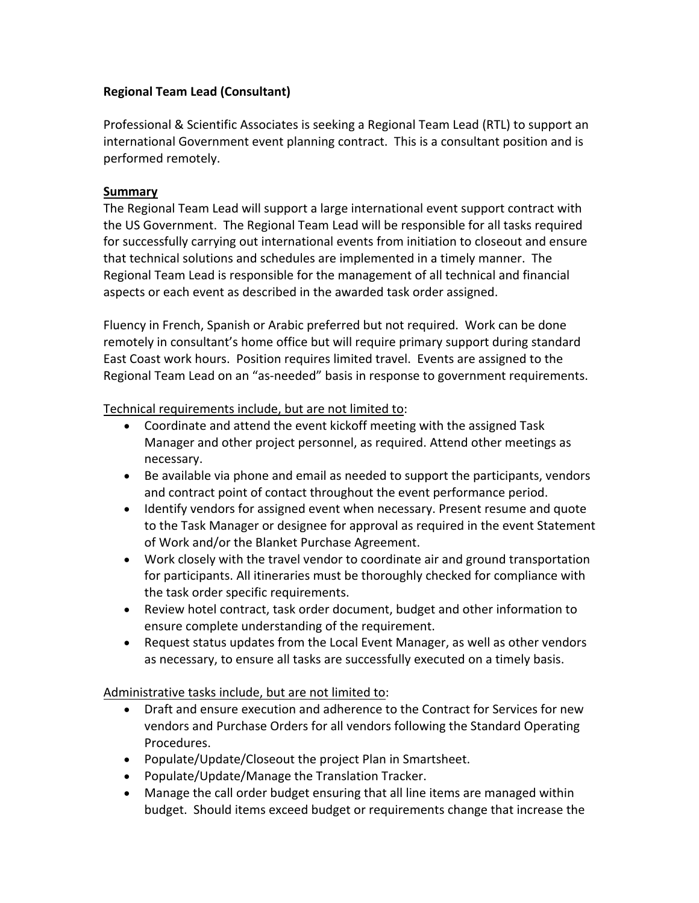## **Regional Team Lead (Consultant)**

Professional & Scientific Associates is seeking a Regional Team Lead (RTL) to support an international Government event planning contract. This is a consultant position and is performed remotely.

## **Summary**

The Regional Team Lead will support a large international event support contract with the US Government. The Regional Team Lead will be responsible for all tasks required for successfully carrying out international events from initiation to closeout and ensure that technical solutions and schedules are implemented in a timely manner. The Regional Team Lead is responsible for the management of all technical and financial aspects or each event as described in the awarded task order assigned.

Fluency in French, Spanish or Arabic preferred but not required. Work can be done remotely in consultant's home office but will require primary support during standard East Coast work hours. Position requires limited travel. Events are assigned to the Regional Team Lead on an "as-needed" basis in response to government requirements.

Technical requirements include, but are not limited to:

- Coordinate and attend the event kickoff meeting with the assigned Task Manager and other project personnel, as required. Attend other meetings as necessary.
- Be available via phone and email as needed to support the participants, vendors and contract point of contact throughout the event performance period.
- Identify vendors for assigned event when necessary. Present resume and quote to the Task Manager or designee for approval as required in the event Statement of Work and/or the Blanket Purchase Agreement.
- Work closely with the travel vendor to coordinate air and ground transportation for participants. All itineraries must be thoroughly checked for compliance with the task order specific requirements.
- Review hotel contract, task order document, budget and other information to ensure complete understanding of the requirement.
- Request status updates from the Local Event Manager, as well as other vendors as necessary, to ensure all tasks are successfully executed on a timely basis.

Administrative tasks include, but are not limited to:

- Draft and ensure execution and adherence to the Contract for Services for new vendors and Purchase Orders for all vendors following the Standard Operating Procedures.
- Populate/Update/Closeout the project Plan in Smartsheet.
- Populate/Update/Manage the Translation Tracker.
- Manage the call order budget ensuring that all line items are managed within budget. Should items exceed budget or requirements change that increase the